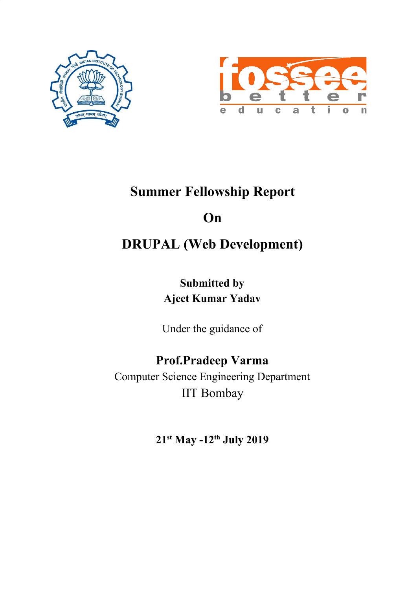



# **Summer Fellowship Report**

# **On**

# **DRUPAL (Web Development)**

**Submitted by Ajeet Kumar Yadav**

Under the guidance of

## **Prof.Pradeep Varma**

Computer Science Engineering Department IIT Bombay

**21 st May -12 th July 2019**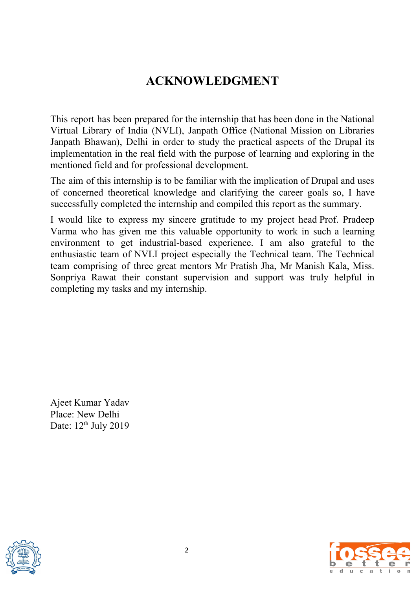## **ACKNOWLEDGMENT**

This report has been prepared for the internship that has been done in the National Virtual Library of India (NVLI), Janpath Office (National Mission on Libraries Janpath Bhawan), Delhi in order to study the practical aspects of the Drupal its implementation in the real field with the purpose of learning and exploring in the mentioned field and for professional development.

The aim of this internship is to be familiar with the implication of Drupal and uses of concerned theoretical knowledge and clarifying the career goals so, I have successfully completed the internship and compiled this report as the summary.

I would like to express my sincere gratitude to my project head Prof. Pradeep Varma who has given me this valuable opportunity to work in such a learning environment to get industrial-based experience. I am also grateful to the enthusiastic team of NVLI project especially the Technical team. The Technical team comprising of three great mentors Mr Pratish Jha, Mr Manish Kala, Miss. Sonpriya Rawat their constant supervision and support was truly helpful in completing my tasks and my internship.

Ajeet Kumar Yadav Place: New Delhi Date: 12<sup>th</sup> July 2019



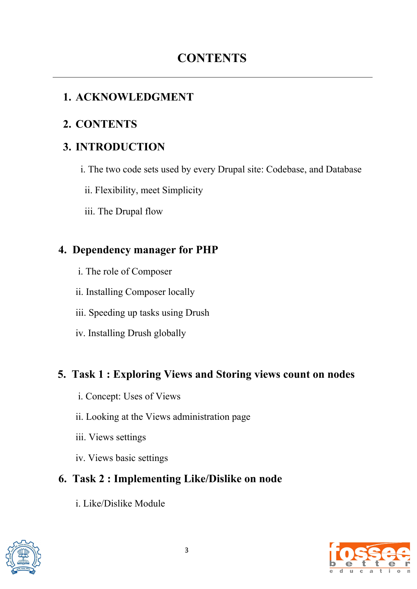#### **1. ACKNOWLEDGMENT**

## **2. CONTENTS**

### **3. INTRODUCTION**

- i. The two code sets used by every Drupal site: Codebase, and Database
- ii. Flexibility, meet Simplicity
- iii. The Drupal flow

#### **4. Dependency manager for PHP**

- i. The role of Composer
- ii. Installing Composer locally
- iii. Speeding up tasks using Drush
- iv. Installing Drush globally

### **5. Task 1 : Exploring Views and Storing views count on nodes**

- i. Concept: Uses of Views
- ii. Looking at the Views administration page
- iii. Views settings
- iv. Views basic settings

### **6. Task 2 : Implementing Like/Dislike on node**

i. Like/Dislike Module



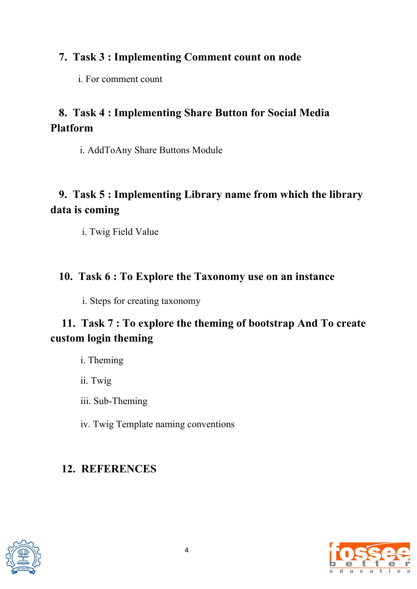#### **7. Task 3 : Implementing Comment count on node**

i. For comment count

## **8. Task 4 : Implementing Share Button for Social Media Platform**

i. AddToAny Share Buttons Module

## **9. Task 5 : Implementing Library name from which the library data is coming**

i. Twig Field Value

### **10. Task 6 : To Explore the Taxonomy use on an instance**

i. Steps for creating taxonomy

## **11. Task 7 : To explore the theming of bootstrap And To create custom login theming**

- i. Theming
- ii. Twig
- iii. Sub-Theming
- iv. Twig Template naming conventions

## **12. REFERENCES**



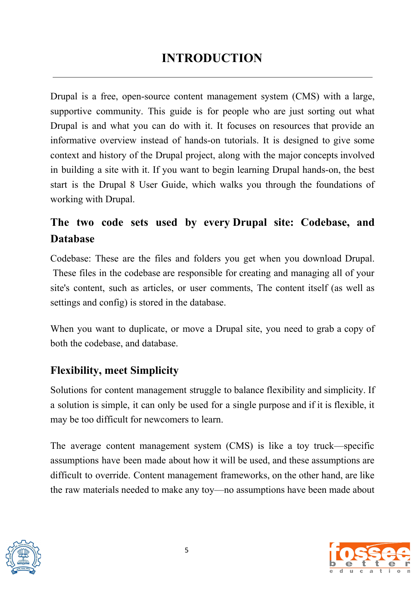Drupal is a free, open-source content management system (CMS) with a large, supportive community. This guide is for people who are just sorting out what Drupal is and what you can do with it. It focuses on resources that provide an informative overview instead of hands-on tutorials. It is designed to give some context and history of the Drupal project, along with the major concepts involved in building a site with it. If you want to begin learning Drupal hands-on, the best start is the Drupal 8 User Guide, which walks you through the foundations of working with Drupal.

## **The two code sets used by every Drupal site: Codebase, and Database**

Codebase: These are the files and folders you get when you download Drupal. These files in the codebase are responsible for creating and managing all of your site's content, such as articles, or user comments, The content itself (as well as settings and config) is stored in the database.

When you want to duplicate, or move a Drupal site, you need to grab a copy of both the codebase, and database.

#### **Flexibility, meet Simplicity**

Solutions for content management struggle to balance flexibility and simplicity. If a solution is simple, it can only be used for a single purpose and if it is flexible, it may be too difficult for newcomers to learn.

The average content management system (CMS) is like a toy truck—specific assumptions have been made about how it will be used, and these assumptions are difficult to override. Content management frameworks, on the other hand, are like the raw materials needed to make any toy—no assumptions have been made about



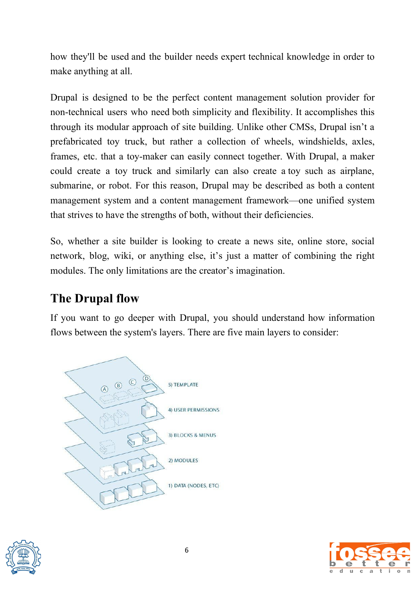how they'll be used and the builder needs expert technical knowledge in order to make anything at all.

Drupal is designed to be the perfect content management solution provider for non-technical users who need both simplicity and flexibility. It accomplishes this through its modular approach of site building. Unlike other CMSs, Drupal isn't a prefabricated toy truck, but rather a collection of wheels, windshields, axles, frames, etc. that a toy-maker can easily connect together. With Drupal, a maker could create a toy truck and similarly can also create a toy such as airplane, submarine, or robot. For this reason, Drupal may be described as both a content management system and a content management framework—one unified system that strives to have the strengths of both, without their deficiencies.

So, whether a site builder is looking to create a news site, online store, social network, blog, wiki, or anything else, it's just a matter of combining the right modules. The only limitations are the creator's imagination.

## **The Drupal flow**

If you want to go deeper with Drupal, you should understand how information flows between the system's layers. There are five main layers to consider:





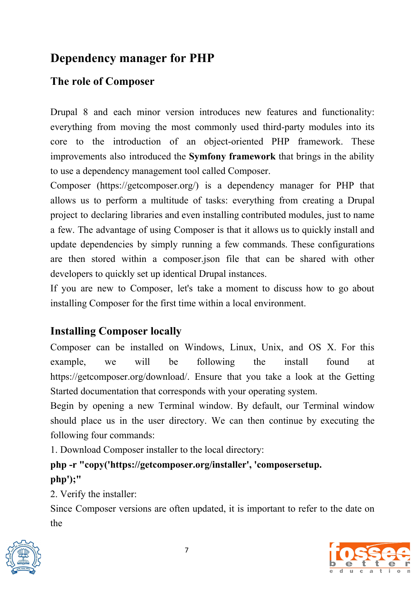## **Dependency manager for PHP**

#### **The role of Composer**

Drupal 8 and each minor version introduces new features and functionality: everything from moving the most commonly used third-party modules into its core to the introduction of an object-oriented PHP framework. These improvements also introduced the **Symfony framework** that brings in the ability to use a dependency management tool called Composer.

Composer (https://getcomposer.org/) is a dependency manager for PHP that allows us to perform a multitude of tasks: everything from creating a Drupal project to declaring libraries and even installing contributed modules, just to name a few. The advantage of using Composer is that it allows us to quickly install and update dependencies by simply running a few commands. These configurations are then stored within a composer.json file that can be shared with other developers to quickly set up identical Drupal instances.

If you are new to Composer, let's take a moment to discuss how to go about installing Composer for the first time within a local environment.

### **Installing Composer locally**

Composer can be installed on Windows, Linux, Unix, and OS X. For this example, we will be following the install found at https://getcomposer.org/download/. Ensure that you take a look at the Getting Started documentation that corresponds with your operating system.

Begin by opening a new Terminal window. By default, our Terminal window should place us in the user directory. We can then continue by executing the following four commands:

1. Download Composer installer to the local directory:

### **php -r "copy('https://getcomposer.org/installer' , 'composersetup. php');"**

2. Verify the installer:

Since Composer versions are often updated, it is important to refer to the date on the



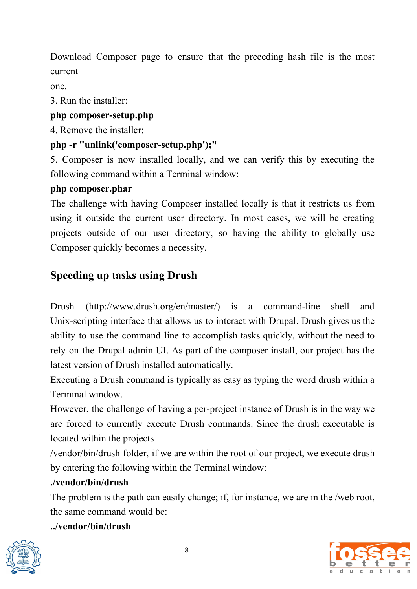Download Composer page to ensure that the preceding hash file is the most current

one.

3. Run the installer:

#### **php composer-setup.php**

4. Remove the installer:

#### **php -r "unlink('composer-setup.php');"**

5. Composer is now installed locally, and we can verify this by executing the following command within a Terminal window:

#### **php composer.phar**

The challenge with having Composer installed locally is that it restricts us from using it outside the current user directory. In most cases, we will be creating projects outside of our user directory, so having the ability to globally use Composer quickly becomes a necessity.

#### **Speeding up tasks using Drush**

Drush (http://www.drush.org/en/master/) is a command-line shell and Unix-scripting interface that allows us to interact with Drupal. Drush gives us the ability to use the command line to accomplish tasks quickly, without the need to rely on the Drupal admin UI. As part of the composer install, our project has the latest version of Drush installed automatically.

Executing a Drush command is typically as easy as typing the word drush within a Terminal window.

However, the challenge of having a per-project instance of Drush is in the way we are forced to currently execute Drush commands. Since the drush executable is located within the projects

/vendor/bin/drush folder, if we are within the root of our project, we execute drush by entering the following within the Terminal window:

#### **./vendor/bin/drush**

The problem is the path can easily change; if, for instance, we are in the /web root, the same command would be:

**../vendor/bin/drush**



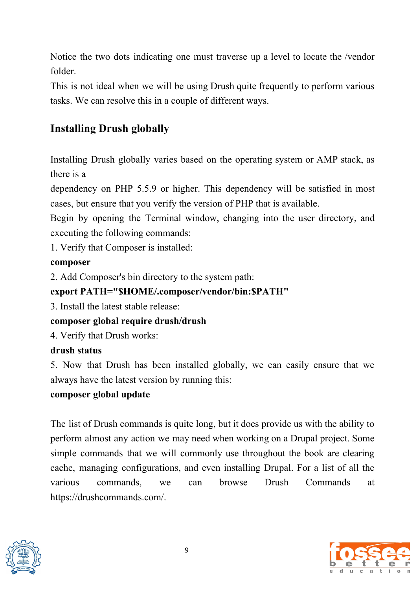Notice the two dots indicating one must traverse up a level to locate the /vendor folder.

This is not ideal when we will be using Drush quite frequently to perform various tasks. We can resolve this in a couple of different ways.

#### **Installing Drush globally**

Installing Drush globally varies based on the operating system or AMP stack, as there is a

dependency on PHP 5.5.9 or higher. This dependency will be satisfied in most cases, but ensure that you verify the version of PHP that is available.

Begin by opening the Terminal window, changing into the user directory, and executing the following commands:

1. Verify that Composer is installed:

#### **composer**

2. Add Composer's bin directory to the system path:

#### **export PATH="\$HOME/.composer/vendor/bin:\$PATH"**

3. Install the latest stable release:

#### **composer global require drush/drush**

4. Verify that Drush works:

#### **drush status**

5. Now that Drush has been installed globally, we can easily ensure that we always have the latest version by running this:

#### **composer global update**

The list of Drush commands is quite long, but it does provide us with the ability to perform almost any action we may need when working on a Drupal project. Some simple commands that we will commonly use throughout the book are clearing cache, managing configurations, and even installing Drupal. For a list of all the various commands, we can browse Drush Commands at https://drushcommands.com/.



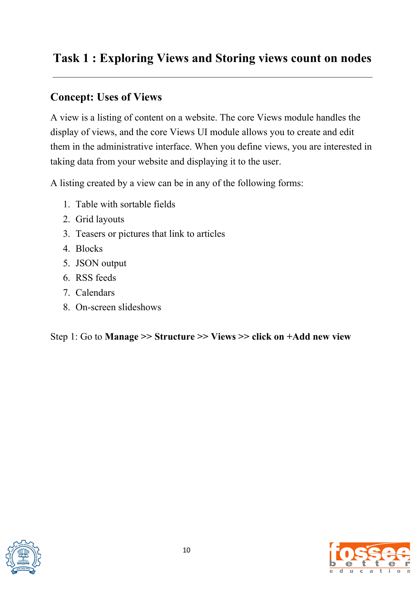## **Task 1 : Exploring Views and Storing views count on nodes**

#### **Concept: Uses of Views**

A view is a listing of content on a website. The core Views module handles the display of views, and the core Views UI module allows you to create and edit them in the administrative interface. When you define views, you are interested in taking data from your website and displaying it to the user.

A listing created by a view can be in any of the following forms:

- 1. Table with sortable fields
- 2. Grid layouts
- 3. Teasers or pictures that link to articles
- 4. Blocks
- 5. JSON output
- 6. RSS feeds
- 7. Calendars
- 8. On-screen slideshows

Step 1: Go to **Manage >> Structure >> Views >> click on +Add new view**



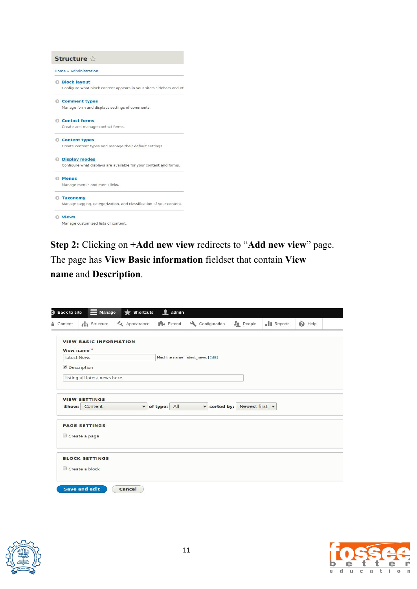

**Step 2:** Clicking on **+Add new view** redirects to "**Add new view**" page. The page has **View Basic information** fieldset that contain **View name** and **Description**.

|             | <b>ch</b> Structure           | A Appearance                     | $\mathbf{F}$ Extend | Configuration | $\mathbf{f}_2$ People | $\blacksquare$ Reports | <sup>O</sup> Help |
|-------------|-------------------------------|----------------------------------|---------------------|---------------|-----------------------|------------------------|-------------------|
|             | <b>VIEW BASIC INFORMATION</b> |                                  |                     |               |                       |                        |                   |
| View name*  |                               |                                  |                     |               |                       |                        |                   |
| latest News |                               | Machine name: latest news [Edit] |                     |               |                       |                        |                   |
| Description |                               |                                  |                     |               |                       |                        |                   |
|             | listing all latest news here  |                                  |                     |               |                       |                        |                   |
|             |                               |                                  |                     |               |                       |                        |                   |
|             |                               |                                  |                     |               |                       |                        |                   |
|             | <b>PAGE SETTINGS</b>          |                                  |                     |               |                       |                        |                   |
|             | Create a page                 |                                  |                     |               |                       |                        |                   |
|             |                               |                                  |                     |               |                       |                        |                   |
|             | <b>BLOCK SETTINGS</b>         |                                  |                     |               |                       |                        |                   |
|             | Create a block                |                                  |                     |               |                       |                        |                   |



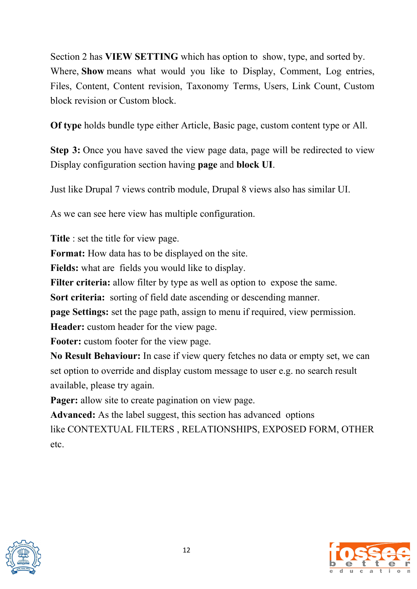Section 2 has **VIEW SETTING** which has option to show, type, and sorted by. Where, **Show** means what would you like to Display, Comment, Log entries, Files, Content, Content revision, Taxonomy Terms, Users, Link Count, Custom block revision or Custom block.

**Of type** holds bundle type either Article, Basic page, custom content type or All.

**Step 3:** Once you have saved the view page data, page will be redirected to view Display configuration section having **page** and **block UI**.

Just like Drupal 7 views contrib module, Drupal 8 views also has similar UI.

As we can see here view has multiple configuration.

**Title** : set the title for view page.

**Format:** How data has to be displayed on the site.

**Fields:** what are fields you would like to display.

**Filter criteria:** allow filter by type as well as option to expose the same.

**Sort criteria:** sorting of field date ascending or descending manner.

**page Settings:** set the page path, assign to menu if required, view permission.

**Header:** custom header for the view page.

**Footer:** custom footer for the view page.

**No Result Behaviour:** In case if view query fetches no data or empty set, we can set option to override and display custom message to user e.g. no search result available, please try again.

**Pager:** allow site to create pagination on view page.

**Advanced:** As the label suggest, this section has advanced options like [CONTEXTUAL](http://valuebound.com/resources/blog/Views-Contextual-Filters-to-Display-Content-by-passing-Raw-value-from-URL-in-drupal-8) FILTERS , RELATIONSHIPS, EXPOSED FORM, OTHER etc.



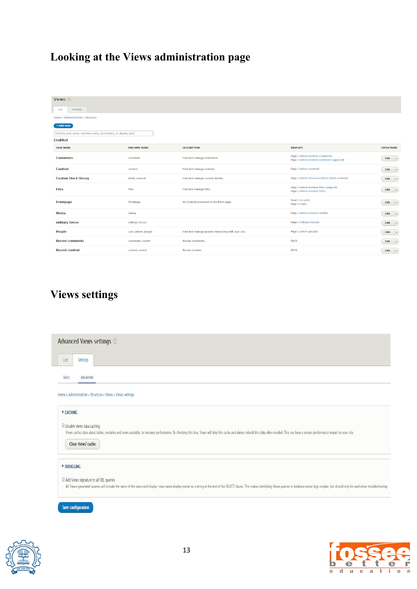## **Looking at the Views administration page**

| <b>Views</b> ☆                                                  |                     |                                                    |                                                                         |                    |
|-----------------------------------------------------------------|---------------------|----------------------------------------------------|-------------------------------------------------------------------------|--------------------|
| Settings<br>List                                                |                     |                                                    |                                                                         |                    |
| Home » Administration » Structure                               |                     |                                                    |                                                                         |                    |
| + Add view                                                      |                     |                                                    |                                                                         |                    |
| Filter by view name, machine name, description, or display path |                     |                                                    |                                                                         |                    |
| Enabled                                                         |                     |                                                    |                                                                         |                    |
| <b>VIEW NAME</b>                                                | <b>MACHINE NAME</b> | <b>DESCRIPTION</b>                                 | <b>DISPLAYS</b>                                                         | <b>OPERATIONS</b>  |
| <b>Comments</b>                                                 | comment             | Find and manage comments.                          | Page (/admin/content/comment)<br>Page (/admin/content/comment/approval) | Edit $\rightarrow$ |
| <b>Content</b>                                                  | content             | Find and manage content.                           | Page (/admin/content)                                                   | Edit $\rightarrow$ |
| <b>Custom block library</b>                                     | block_content       | Find and manage custom blocks.                     | Page (/admin/structure/block/block-content)                             | Edit $\rightarrow$ |
| <b>Files</b>                                                    | files               | Find and manage files.                             | Page (/admin/content/files/usage/%)<br>Page (/admin/content/files)      | Edit $\rightarrow$ |
| Frontpage                                                       | frontpage           | All content promoted to the front page.            | Feed (/rss.xml)<br>Page (/node)                                         | Edit $\rightarrow$ |
| Media                                                           | media               |                                                    | Page (/admin/content/media)                                             | Edit $\rightarrow$ |
| military forces                                                 | military_forces     |                                                    | Page (/military-forces)                                                 | Edit $\rightarrow$ |
| People                                                          | user_admin_people   | Find and manage people interacting with your site. | Page (/admin/people)                                                    | Edit $\rightarrow$ |
| <b>Recent comments</b>                                          | comments_recent     | Recent comments.                                   | Block                                                                   | Edit $\rightarrow$ |
| <b>Recent content</b>                                           | content_recent      | Recent content.                                    | Block                                                                   | Edit $\rightarrow$ |

## **Views settings**

| Advanced Views settings $\hat{w}$                                                                                                                                                                                                                                                                             |
|---------------------------------------------------------------------------------------------------------------------------------------------------------------------------------------------------------------------------------------------------------------------------------------------------------------|
| List<br>Settings                                                                                                                                                                                                                                                                                              |
| Advanced<br>Basic                                                                                                                                                                                                                                                                                             |
| Home » Administration » Structure » Views » Views settings                                                                                                                                                                                                                                                    |
| <b>V CACHING</b><br>Disable views data caching<br>Views caches data about tables, modules and views available, to increase performance. By checking this box, Views will skip this cache and always rebuild this data when needed. This can have a serious performance impact on<br><b>Clear Views' cache</b> |
| <b>V DEBUGGING</b>                                                                                                                                                                                                                                                                                            |
| Add Views signature to all SQL queries<br>All Views-generated queries will include the name of the views and display View-name:display-name' as a string at the end of the SELECT clause. This makes identifying Views queries in database server logs simpler, but shou                                      |
| <b>Save configuration</b>                                                                                                                                                                                                                                                                                     |



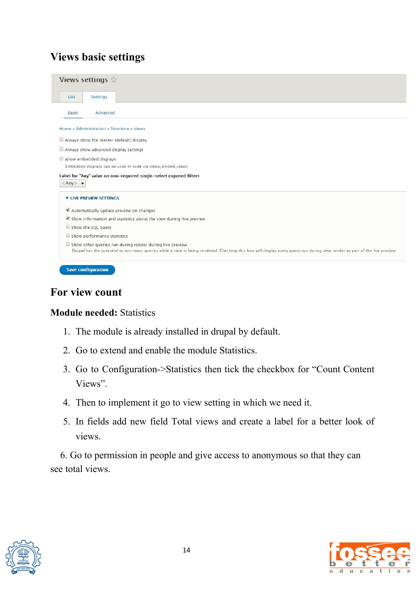#### **Views basic settings**



#### **For view count**

#### **Module needed:** Statistics

- 1. The module is already installed in drupal by default.
- 2. Go to extend and enable the module Statistics.
- 3. Go to Configuration->Statistics then tick the checkbox for "Count Content Views".
- 4. Then to implement it go to view setting in which we need it.
- 5. In fields add new field Total views and create a label for a better look of views.

6. Go to permission in people and give access to anonymous so that they can see total views.



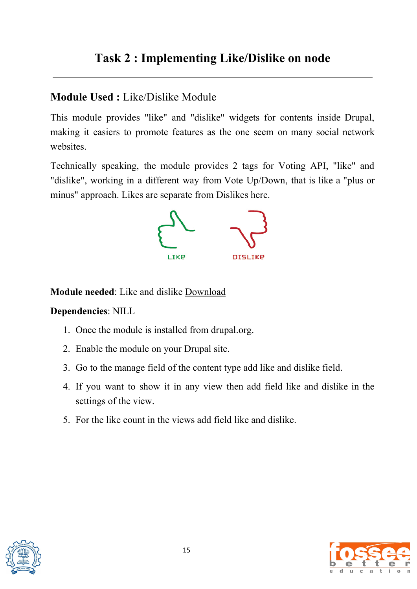## **Task 2 : Implementing Like/Dislike on node**

#### **Module Used :** [Like/Dislike](https://www.drupal.org/project/like_dislike) Module

This module provides "like" and "dislike" widgets for contents inside Drupal, making it easiers to promote features as the one seem on many social network websites.

Technically speaking, the module provides 2 tags for Voting API, "like" and "dislike", working in a different way from Vote [Up/Down,](https://www.drupal.org/project/vote_up_down) that is like a "plus or minus" approach. Likes are separate from Dislikes here.



#### **Module needed**: Like and dislike [Download](https://www.drupal.org/project/like_dislike)

#### **Dependencies**: NILL

- 1. Once the module is installed from drupal.org.
- 2. Enable the module on your Drupal site.
- 3. Go to the manage field of the content type add like and dislike field.
- 4. If you want to show it in any view then add field like and dislike in the settings of the view.
- 5. For the like count in the views add field like and dislike.



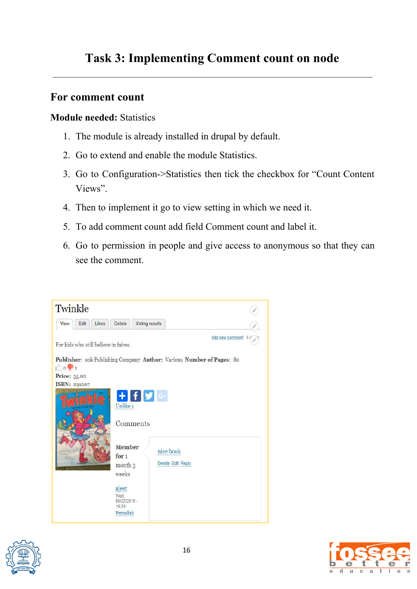#### **For comment count**

#### **Module needed:** Statistics

- 1. The module is already installed in drupal by default.
- 2. Go to extend and enable the module Statistics.
- 3. Go to Configuration->Statistics then tick the checkbox for "Count Content Views".
- 4. Then to implement it go to view setting in which we need it.
- 5. To add comment count add field Comment count and label it.
- 6. Go to permission in people and give access to anonymous so that they can see the comment.





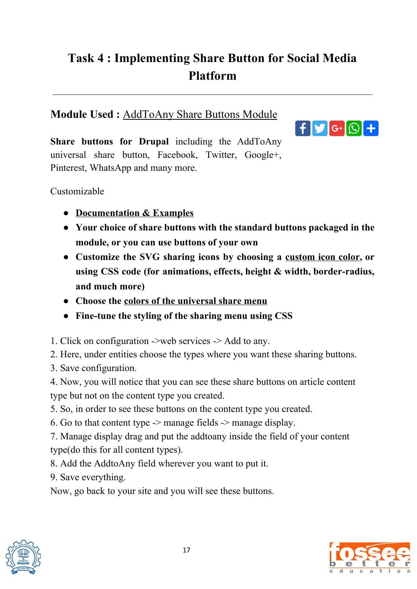## **Task 4 : Implementing Share Button for Social Media Platform**

**Module Used :** [AddToAny](https://www.drupal.org/project/addtoany) Share Buttons Module



**Share buttons for Drupal** including the AddToAny universal share button, Facebook, Twitter, Google+, Pinterest, WhatsApp and many more.

Customizable

- **● [Documentation](https://www.addtoany.com/buttons/customize/drupal) & Examples**
- **● Your choice of share buttons with the standard buttons packaged in the module, or you can use buttons of your own**
- **● Customize the SVG sharing icons by choosing a [custom](https://www.addtoany.com/buttons/customize/drupal/icon_color) icon color, or using CSS code (for animations, effects, height & width, border-radius, and much more)**
- **● Choose the colors of the [universal](https://www.addtoany.com/buttons/customize/drupal/css_style_colors) share menu**
- **● Fine-tune the styling of the sharing menu using CSS**
- 1. Click on configuration ->web services -> Add to any.
- 2. Here, under entities choose the types where you want these sharing buttons.
- 3. Save configuration.

4. Now, you will notice that you can see these share buttons on article content type but not on the content type you created.

- 5. So, in order to see these buttons on the content type you created.
- 6. Go to that content type -> manage fields -> manage display.

7. Manage display drag and put the addtoany inside the field of your content type(do this for all content types).

8. Add the AddtoAny field wherever you want to put it.

9. Save everything.

Now, go back to your site and you will see these buttons.



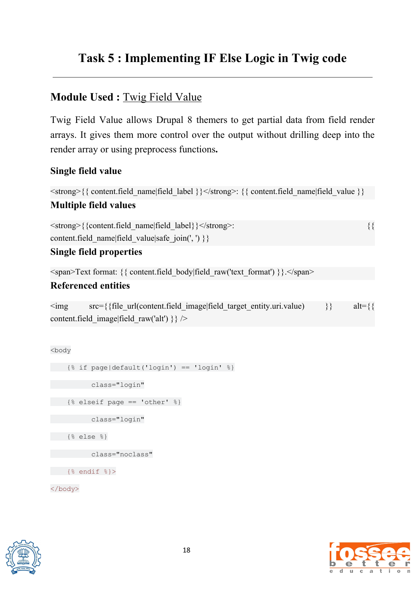## **Task 5 : Implementing IF Else Logic in Twig code**

#### **Module Used :** Twig Field [Value](https://www.drupal.org/project/twig_field_value)

Twig Field Value allows Drupal 8 themers to get partial data from field render arrays. It gives them more control over the output without drilling deep into the render array or using preprocess functions**.**

#### **Single field value**

```
<strong>{{ content.field_name|field_label }}</strong>: {{ content.field_name|field_value }}
Multiple field values
```
<strong>{{content.field\_name|field\_label}}</strong>: {{ content.field\_name|field\_value|safe\_join(', ') } }

#### **Single field properties**

 $\langle$ span>Text format: {{ content.field body|field raw('text format') }  $\langle$  </span>

#### **Referenced entities**

 $\langle$ img src={{file url(content.field\_image|field\_target\_entity.uri.value) }} alt={{ content.field image|field raw('alt') }  $>$ 

<body

```
{% if page|default('login') == 'login' %}
        class="login"
```
{% elseif page == 'other' %}

class="login"

{% else %}

class="noclass"

 $\{ \, \text{\& endif } \, \text{\&} \, \}$ 

</body>

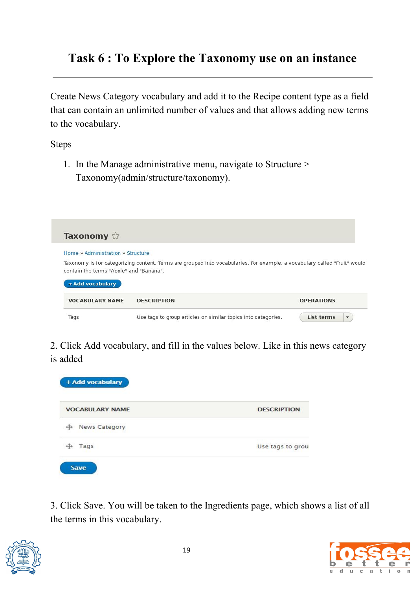## **Task 6 : To Explore the Taxonomy use on an instance**

Create News Category vocabulary and add it to the Recipe content type as a field that can contain an unlimited number of values and that allows adding new terms to the vocabulary.

Steps

1. In the Manage administrative menu, navigate to Structure > Taxonomy(admin/structure/taxonomy).

| <b>Taxonomy</b>                         |                                                                                                                           |                   |
|-----------------------------------------|---------------------------------------------------------------------------------------------------------------------------|-------------------|
| Home » Administration » Structure       |                                                                                                                           |                   |
|                                         | Taxonomy is for categorizing content. Terms are grouped into vocabularies. For example, a vocabulary called "Fruit" would |                   |
|                                         |                                                                                                                           |                   |
| contain the terms "Apple" and "Banana". |                                                                                                                           |                   |
| + Add vocabulary                        |                                                                                                                           |                   |
| <b>VOCABULARY NAME</b>                  | <b>DESCRIPTION</b>                                                                                                        | <b>OPERATIONS</b> |

2. Click Add vocabulary, and fill in the values below. Like in this news category is added



3. Click Save. You will be taken to the Ingredients page, which shows a list of all the terms in this vocabulary.

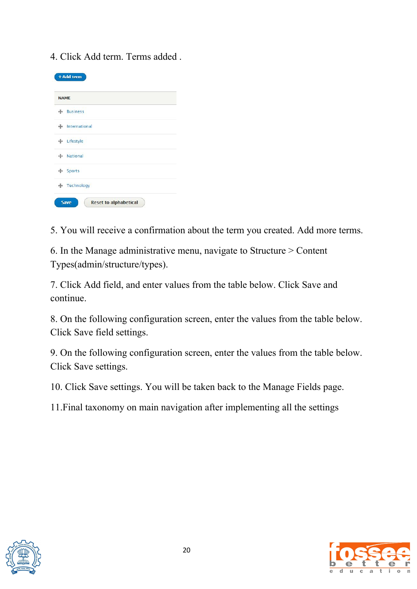4. Click Add term. Terms added .

| <b>NAME</b> |                 |  |
|-------------|-----------------|--|
| ⊕           | <b>Business</b> |  |
| ⊕           | International   |  |
|             | Lifestyle       |  |
| ⊕           | National        |  |
|             | <b>Sports</b>   |  |
|             | + Technology    |  |

5. You will receive a confirmation about the term you created. Add more terms.

6. In the Manage administrative menu, navigate to Structure > Content Types(admin/structure/types).

7. Click Add field, and enter values from the table below. Click Save and continue.

8. On the following configuration screen, enter the values from the table below. Click Save field settings.

9. On the following configuration screen, enter the values from the table below. Click Save settings.

10. Click Save settings. You will be taken back to the Manage Fields page.

11.Final taxonomy on main navigation after implementing all the settings



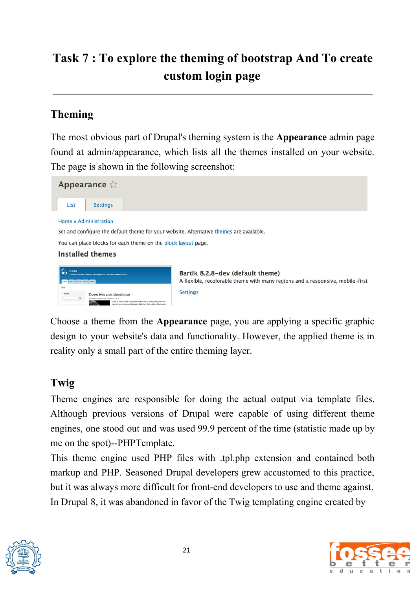## **Task 7 : To explore the theming of bootstrap And To create custom login page**

#### **Theming**

The most obvious part of Drupal's theming system is the **Appearance** admin page found at admin/appearance, which lists all the themes installed on your website. The page is shown in the following screenshot:



Choose a theme from the **Appearance** page, you are applying a specific graphic design to your website's data and functionality. However, the applied theme is in reality only a small part of the entire theming layer.

#### **Twig**

Theme engines are responsible for doing the actual output via template files. Although previous versions of Drupal were capable of using different theme engines, one stood out and was used 99.9 percent of the time (statistic made up by me on the spot)--PHPTemplate.

This theme engine used PHP files with .tpl.php extension and contained both markup and PHP. Seasoned Drupal developers grew accustomed to this practice, but it was always more difficult for front-end developers to use and theme against. In Drupal 8, it was abandoned in favor of the Twig templating engine created by



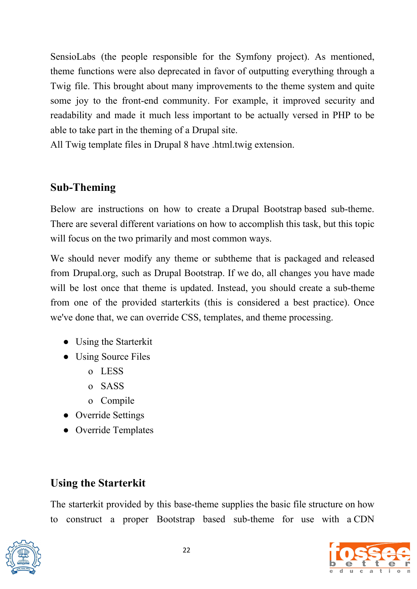SensioLabs (the people responsible for the Symfony project). As mentioned, theme functions were also deprecated in favor of outputting everything through a Twig file. This brought about many improvements to the theme system and quite some joy to the front-end community. For example, it improved security and readability and made it much less important to be actually versed in PHP to be able to take part in the theming of a Drupal site.

All Twig template files in Drupal 8 have .html.twig extension.

#### **Sub-Theming**

Below are instructions on how to create a Drupal [Bootstrap](https://www.drupal.org/project/bootstrap) based sub-theme. There are several different variations on how to accomplish this task, but this topic will focus on the two primarily and most common ways.

We should never modify any theme or subtheme that is packaged and released from Drupal.org, such as Drupal Bootstrap. If we do, all changes you have made will be lost once that theme is updated. Instead, you should create a sub-theme from one of the provided starterkits (this is considered a best practice). Once we've done that, we can override CSS, templates, and theme processing.

- Using the [Starterkit](https://drupal-bootstrap.org/api/bootstrap/docs!Sub-Theming.md/group/sub_theming/8.x-3.x#starterkit)
- Using [Source](https://drupal-bootstrap.org/api/bootstrap/docs!Sub-Theming.md/group/sub_theming/8.x-3.x#source) Files
	- o [LESS](https://drupal-bootstrap.org/api/bootstrap/docs!Sub-Theming.md/group/sub_theming/8.x-3.x#less)
	- o [SASS](https://drupal-bootstrap.org/api/bootstrap/docs!Sub-Theming.md/group/sub_theming/8.x-3.x#sass)
	- o [Compile](https://drupal-bootstrap.org/api/bootstrap/docs!Sub-Theming.md/group/sub_theming/8.x-3.x#compile)
- [Override](https://drupal-bootstrap.org/api/bootstrap/docs!Sub-Theming.md/group/sub_theming/8.x-3.x#settings) Settings
- Override [Templates](https://drupal-bootstrap.org/api/bootstrap/docs!Sub-Theming.md/group/sub_theming/8.x-3.x#templates)

### **Using the Starterkit**

The starterkit provided by this base-theme supplies the basic file structure on how to construct a proper Bootstrap based sub-theme for use with a [CDN](https://drupal-bootstrap.org/api/bootstrap/docs!plugins!Provider.md/group/plugins_provider/8.x-3.x)

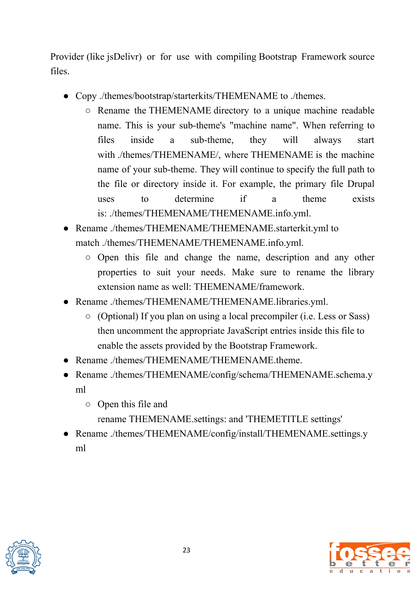[Provider](https://drupal-bootstrap.org/api/bootstrap/docs!plugins!Provider.md/group/plugins_provider/8.x-3.x) (like [jsDelivr](http://www.jsdelivr.com/)) or for use with compiling Bootstrap [Framework](https://getbootstrap.com/docs/3.4/) source files.

- Copy ./themes/bootstrap/starterkits/THEMENAME to ./themes.
	- Rename the THEMENAME directory to a unique machine readable name. This is your sub-theme's "machine name". When referring to files inside a sub-theme, they will always start with ./themes/THEMENAME/, where THEMENAME is the machine name of your sub-theme. They will continue to specify the full path to the file or directory inside it. For example, the primary file Drupal uses to determine if a theme exists is: ./themes/THEMENAME/THEMENAME.info.yml.
- Rename ./themes/THEMENAME/THEMENAME.starterkit.yml to match ./themes/THEMENAME/THEMENAME.info.yml.
	- Open this file and change the name, description and any other properties to suit your needs. Make sure to rename the library extension name as well: THEMENAME/framework.
- Rename ./themes/THEMENAME/THEMENAME.libraries.yml.
	- (Optional) If you plan on using a local precompiler (i.e. [Less](http://lesscss.org/) or [Sass\)](http://sass-lang.com/) then uncomment the appropriate JavaScript entries inside this file to enable the assets provided by the Bootstrap [Framework](https://getbootstrap.com/docs/3.4/).
- Rename ./themes/THEMENAME/THEMENAME.theme.
- Rename ./themes/THEMENAME/config/schema/THEMENAME.schema.y ml
	- Open this file and
		- rename THEMENAME.settings: and 'THEMETITLE settings'
- Rename ./themes/THEMENAME/config/install/THEMENAME.settings.y ml



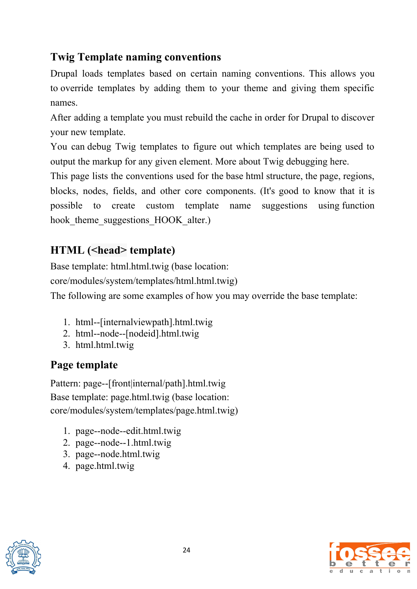## **Twig Template naming conventions**

Drupal loads templates based on certain naming conventions. This allows you to override [templates](https://www.drupal.org/node/2186401) by adding them to your theme and giving them specific [names.](https://www.drupal.org/node/2186401)

After adding a template you must [rebuild](https://www.drupal.org/node/42055) the cache in order for Drupal to discover your new template.

You can debug Twig templates to figure out which [templates](https://www.drupal.org/node/2358785) are being used to output the [markup](https://www.drupal.org/node/2358785) for any given element. More about Twig [debugging](https://www.drupal.org/node/1906392) here.

This page lists the conventions used for the base html structure, the page, regions, blocks, nodes, fields, and other core components. (It's good to know that it is possible to create custom template name suggestions using [function](https://api.drupal.org/api/drupal/core!lib!Drupal!Core!Render!theme.api.php/function/hook_theme_suggestions_HOOK_alter/8) hook theme suggestions HOOK alter.)

## **HTML (<head> template)**

Base template: html.html.twig (base location:

core/modules/system/templates/html.html.twig)

The following are some examples of how you may override the base template:

- 1. html--[internalviewpath].html.twig
- 2. html--node--[nodeid].html.twig
- 3. html.html.twig

### **Page template**

Pattern: page--[front|internal/path].html.twig Base template: page.html.twig (base location: core/modules/system/templates/page.html.twig)

- 1. page--node--edit.html.twig
- 2. page--node--1.html.twig
- 3. page--node.html.twig
- 4. page.html.twig



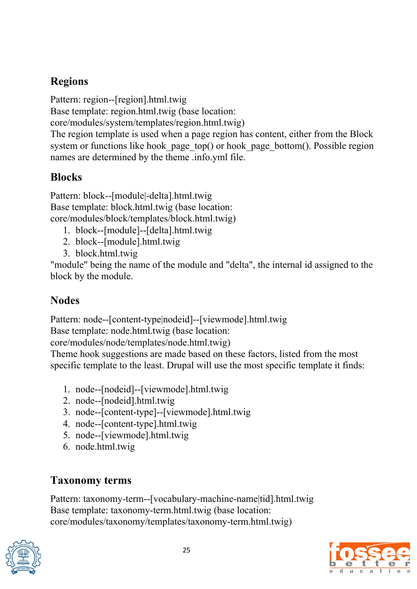## **Regions**

Pattern: region--[region].html.twig Base template: region.html.twig (base location: core/modules/system/templates/region.html.twig) The region template is used when a page region has content, either from the Block system or functions like hook page top() or hook page bottom(). Possible region names are determined by the theme [.info.yml](https://www.drupal.org/node/2349827) file.

### **Blocks**

Pattern: block--[module|-delta].html.twig Base template: block.html.twig (base location: core/modules/block/templates/block.html.twig)

- 1. block--[module]--[delta].html.twig
- 2. block--[module].html.twig
- 3. block.html.twig

"module" being the name of the module and "delta", the internal id assigned to the block by the module.

### **Nodes**

Pattern: node--[content-type|nodeid]--[viewmode].html.twig

Base template: node.html.twig (base location:

core/modules/node/templates/node.html.twig)

Theme hook suggestions are made based on these factors, listed from the most specific template to the least. Drupal will use the most specific template it finds:

- 1. node--[nodeid]--[viewmode].html.twig
- 2. node--[nodeid].html.twig
- 3. node--[content-type]--[viewmode].html.twig
- 4. node--[content-type].html.twig
- 5. node--[viewmode].html.twig
- 6. node.html.twig

## **Taxonomy terms**

Pattern: taxonomy-term--[vocabulary-machine-name|tid].html.twig Base template: taxonomy-term.html.twig (base location: core/modules/taxonomy/templates/taxonomy-term.html.twig)



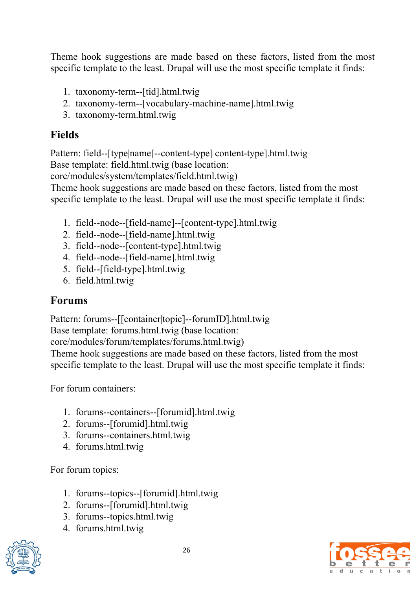Theme hook suggestions are made based on these factors, listed from the most specific template to the least. Drupal will use the most specific template it finds:

- 1. taxonomy-term--[tid].html.twig
- 2. taxonomy-term--[vocabulary-machine-name].html.twig
- 3. taxonomy-term.html.twig

#### **Fields**

Pattern: field--[type|name[--content-type]|content-type].html.twig Base template: field.html.twig (base location:

core/modules/system/templates/field.html.twig)

Theme hook suggestions are made based on these factors, listed from the most specific template to the least. Drupal will use the most specific template it finds:

- 1. field--node--[field-name]--[content-type].html.twig
- 2. field--node--[field-name].html.twig
- 3. field--node--[content-type].html.twig
- 4. field--node--[field-name].html.twig
- 5. field--[field-type].html.twig
- 6. field.html.twig

#### **Forums**

Pattern: forums--[[container|topic]--forumID].html.twig

Base template: forums.html.twig (base location:

core/modules/forum/templates/forums.html.twig)

Theme hook suggestions are made based on these factors, listed from the most specific template to the least. Drupal will use the most specific template it finds:

For forum containers:

- 1. forums--containers--[forumid].html.twig
- 2. forums--[forumid].html.twig
- 3. forums--containers.html.twig
- 4. forums.html.twig

For forum topics:

- 1. forums--topics--[forumid].html.twig
- 2. forums--[forumid].html.twig
- 3. forums--topics.html.twig
- 4. forums.html.twig



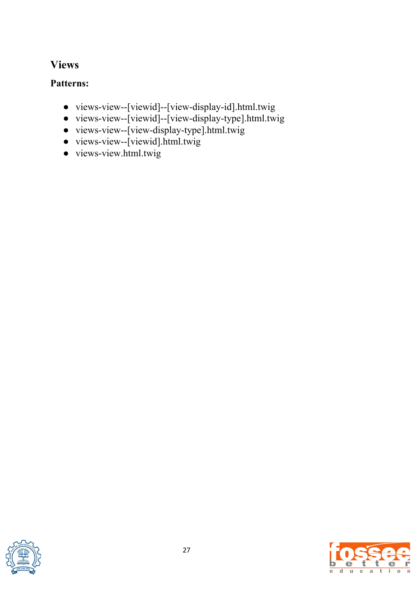## **Views**

#### **Patterns:**

- views-view--[viewid]--[view-display-id].html.twig
- views-view--[viewid]--[view-display-type].html.twig
- views-view--[view-display-type].html.twig
- views-view--[viewid].html.twig
- views-view.html.twig